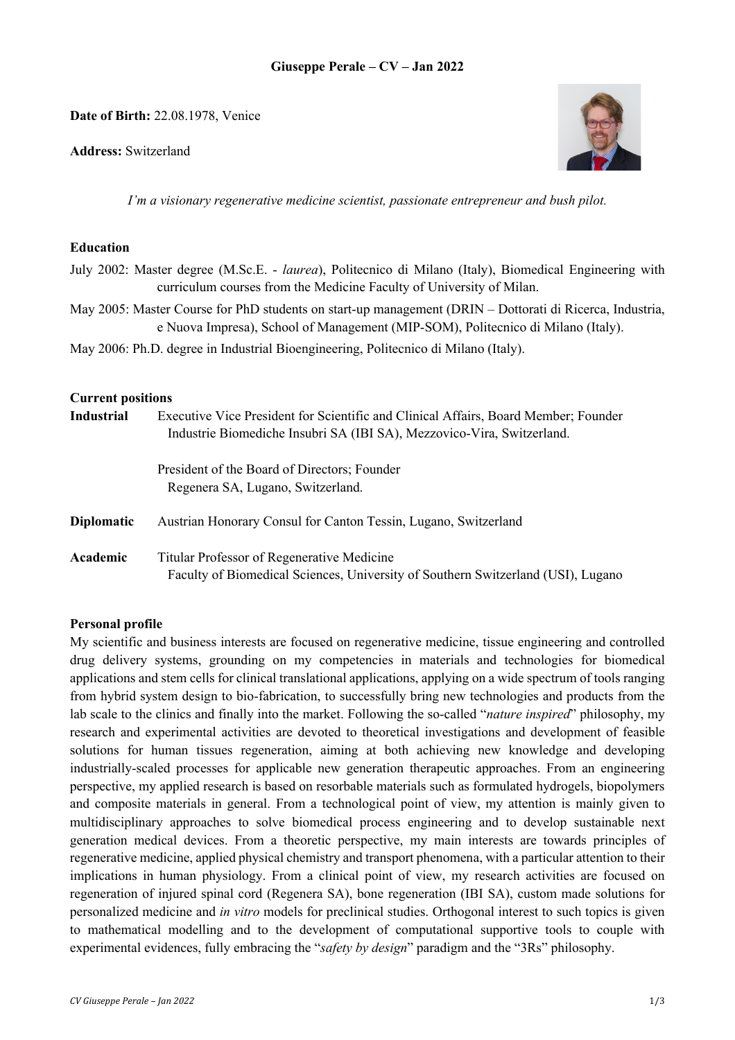**Date of Birth:** 22.08.1978, Venice

**Address:** Switzerland



*I'm a visionary regenerative medicine scientist, passionate entrepreneur and bush pilot.*

#### **Education**

- July 2002: Master degree (M.Sc.E. *laurea*), Politecnico di Milano (Italy), Biomedical Engineering with curriculum courses from the Medicine Faculty of University of Milan.
- May 2005: Master Course for PhD students on start-up management (DRIN Dottorati di Ricerca, Industria, e Nuova Impresa), School of Management (MIP-SOM), Politecnico di Milano (Italy).
- May 2006: Ph.D. degree in Industrial Bioengineering, Politecnico di Milano (Italy).

### **Current positions**

| <b>Industrial</b> | Executive Vice President for Scientific and Clinical Affairs, Board Member; Founder<br>Industrie Biomediche Insubri SA (IBI SA), Mezzovico-Vira, Switzerland. |
|-------------------|---------------------------------------------------------------------------------------------------------------------------------------------------------------|
|                   | President of the Board of Directors; Founder<br>Regenera SA, Lugano, Switzerland.                                                                             |
| <b>Diplomatic</b> | Austrian Honorary Consul for Canton Tessin, Lugano, Switzerland                                                                                               |
| Academic          | Titular Professor of Regenerative Medicine<br>Faculty of Biomedical Sciences, University of Southern Switzerland (USI), Lugano                                |

## **Personal profile**

My scientific and business interests are focused on regenerative medicine, tissue engineering and controlled drug delivery systems, grounding on my competencies in materials and technologies for biomedical applications and stem cells for clinical translational applications, applying on a wide spectrum of tools ranging from hybrid system design to bio-fabrication, to successfully bring new technologies and products from the lab scale to the clinics and finally into the market. Following the so-called "*nature inspired*" philosophy, my research and experimental activities are devoted to theoretical investigations and development of feasible solutions for human tissues regeneration, aiming at both achieving new knowledge and developing industrially-scaled processes for applicable new generation therapeutic approaches. From an engineering perspective, my applied research is based on resorbable materials such as formulated hydrogels, biopolymers and composite materials in general. From a technological point of view, my attention is mainly given to multidisciplinary approaches to solve biomedical process engineering and to develop sustainable next generation medical devices. From a theoretic perspective, my main interests are towards principles of regenerative medicine, applied physical chemistry and transport phenomena, with a particular attention to their implications in human physiology. From a clinical point of view, my research activities are focused on regeneration of injured spinal cord (Regenera SA), bone regeneration (IBI SA), custom made solutions for personalized medicine and *in vitro* models for preclinical studies. Orthogonal interest to such topics is given to mathematical modelling and to the development of computational supportive tools to couple with experimental evidences, fully embracing the "*safety by design*" paradigm and the "3Rs" philosophy.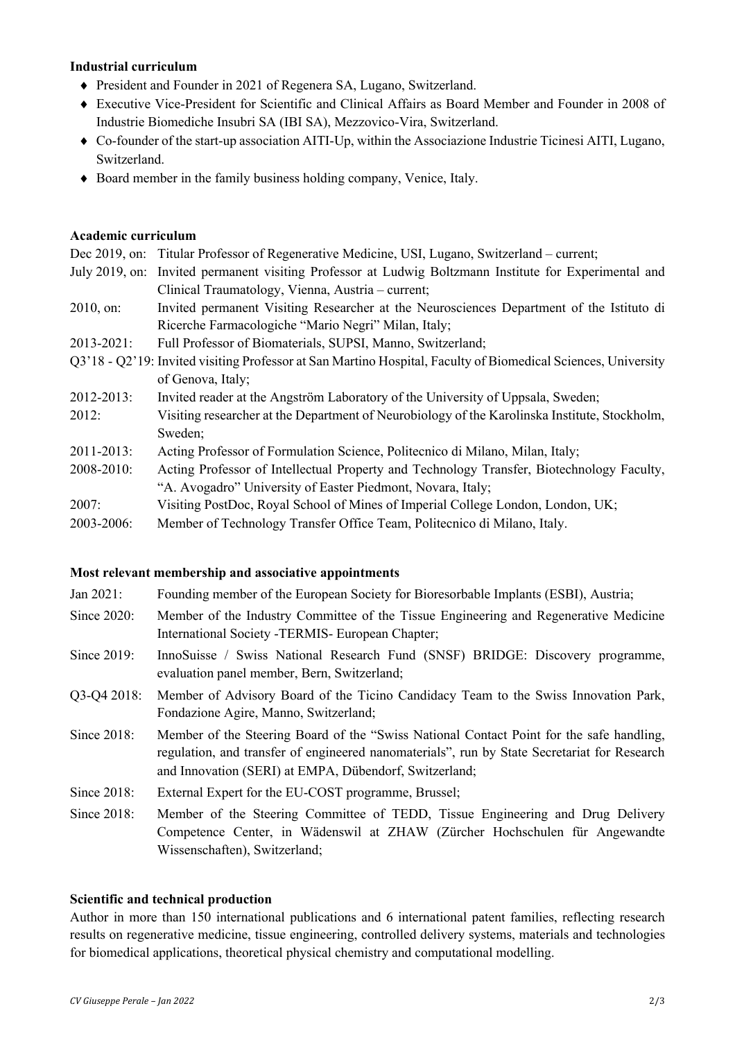#### **Industrial curriculum**

- President and Founder in 2021 of Regenera SA, Lugano, Switzerland.
- ◆ Executive Vice-President for Scientific and Clinical Affairs as Board Member and Founder in 2008 of Industrie Biomediche Insubri SA (IBI SA), Mezzovico-Vira, Switzerland.
- ¨ Co-founder of the start-up association AITI-Up, within the Associazione Industrie Ticinesi AITI, Lugano, Switzerland.
- $\bullet$  Board member in the family business holding company, Venice, Italy.

#### **Academic curriculum**

Dec 2019, on: Titular Professor of Regenerative Medicine, USI, Lugano, Switzerland – current; July 2019, on: Invited permanent visiting Professor at Ludwig Boltzmann Institute for Experimental and Clinical Traumatology, Vienna, Austria – current; 2010, on: Invited permanent Visiting Researcher at the Neurosciences Department of the Istituto di Ricerche Farmacologiche "Mario Negri" Milan, Italy; 2013-2021: Full Professor of Biomaterials, SUPSI, Manno, Switzerland; Q3'18 - Q2'19: Invited visiting Professor at San Martino Hospital, Faculty of Biomedical Sciences, University of Genova, Italy; 2012-2013: Invited reader at the Angström Laboratory of the University of Uppsala, Sweden; 2012: Visiting researcher at the Department of Neurobiology of the Karolinska Institute, Stockholm, Sweden; 2011-2013: Acting Professor of Formulation Science, Politecnico di Milano, Milan, Italy; 2008-2010: Acting Professor of Intellectual Property and Technology Transfer, Biotechnology Faculty, "A. Avogadro" University of Easter Piedmont, Novara, Italy; 2007: Visiting PostDoc, Royal School of Mines of Imperial College London, London, UK; 2003-2006: Member of Technology Transfer Office Team, Politecnico di Milano, Italy.

#### **Most relevant membership and associative appointments**

Wissenschaften), Switzerland;

| Jan $2021$ :   | Founding member of the European Society for Bioresorbable Implants (ESBI), Austria;                                                                                                                                                                |
|----------------|----------------------------------------------------------------------------------------------------------------------------------------------------------------------------------------------------------------------------------------------------|
| Since 2020:    | Member of the Industry Committee of the Tissue Engineering and Regenerative Medicine<br>International Society -TERMIS- European Chapter;                                                                                                           |
| Since $2019$ : | InnoSuisse / Swiss National Research Fund (SNSF) BRIDGE: Discovery programme,<br>evaluation panel member, Bern, Switzerland;                                                                                                                       |
| Q3-Q4 2018:    | Member of Advisory Board of the Ticino Candidacy Team to the Swiss Innovation Park,<br>Fondazione Agire, Manno, Switzerland;                                                                                                                       |
| Since 2018:    | Member of the Steering Board of the "Swiss National Contact Point for the safe handling,<br>regulation, and transfer of engineered nanomaterials", run by State Secretariat for Research<br>and Innovation (SERI) at EMPA, Dübendorf, Switzerland; |
| Since 2018:    | External Expert for the EU-COST programme, Brussel;                                                                                                                                                                                                |
| Since $2018$ : | Member of the Steering Committee of TEDD, Tissue Engineering and Drug Delivery<br>Competence Center, in Wädenswil at ZHAW (Zürcher Hochschulen für Angewandte                                                                                      |

# **Scientific and technical production**

Author in more than 150 international publications and 6 international patent families, reflecting research results on regenerative medicine, tissue engineering, controlled delivery systems, materials and technologies for biomedical applications, theoretical physical chemistry and computational modelling.